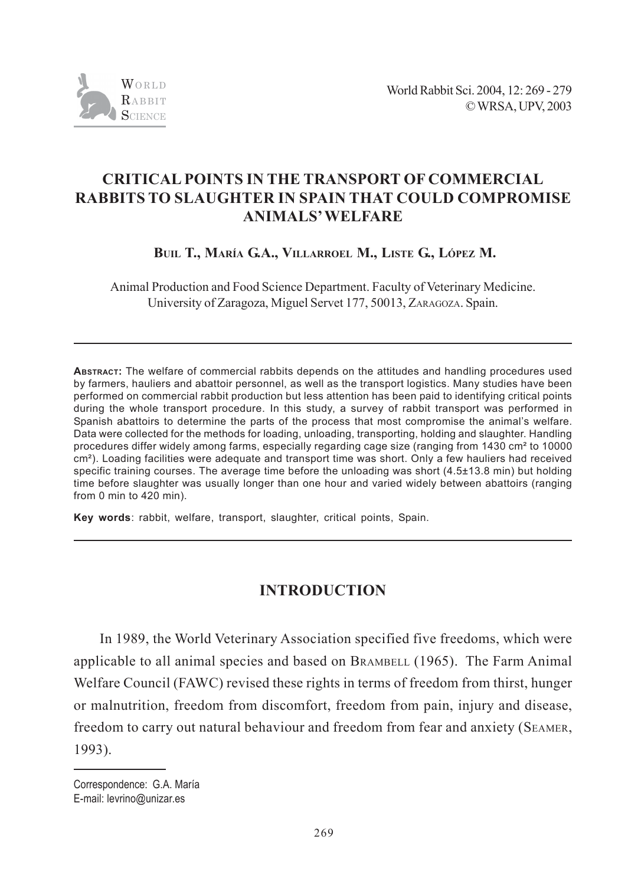

# **CRITICAL POINTS IN THE TRANSPORT OF COMMERCIAL RABBITS TO SLAUGHTER IN SPAIN THAT COULD COMPROMISE ANIMALS' WELFARE**

 **BUIL T., MARÍA G.A., VILLARROEL M., LISTE G., LÓPEZ M.**

Animal Production and Food Science Department. Faculty of Veterinary Medicine. University of Zaragoza, Miguel Servet 177, 50013, ZARAGOZA. Spain.

**ABSTRACT:** The welfare of commercial rabbits depends on the attitudes and handling procedures used by farmers, hauliers and abattoir personnel, as well as the transport logistics. Many studies have been performed on commercial rabbit production but less attention has been paid to identifying critical points during the whole transport procedure. In this study, a survey of rabbit transport was performed in Spanish abattoirs to determine the parts of the process that most compromise the animal's welfare. Data were collected for the methods for loading, unloading, transporting, holding and slaughter. Handling procedures differ widely among farms, especially regarding cage size (ranging from 1430 cm² to 10000 cm<sup>2</sup>). Loading facilities were adequate and transport time was short. Only a few hauliers had received specific training courses. The average time before the unloading was short (4.5±13.8 min) but holding time before slaughter was usually longer than one hour and varied widely between abattoirs (ranging from 0 min to 420 min).

**Key words**: rabbit, welfare, transport, slaughter, critical points, Spain.

# **INTRODUCTION**

In 1989, the World Veterinary Association specified five freedoms, which were applicable to all animal species and based on BRAMBELL (1965). The Farm Animal Welfare Council (FAWC) revised these rights in terms of freedom from thirst, hunger or malnutrition, freedom from discomfort, freedom from pain, injury and disease, freedom to carry out natural behaviour and freedom from fear and anxiety (SEAMER, 1993).

Correspondence: G.A. María E-mail: levrino@unizar.es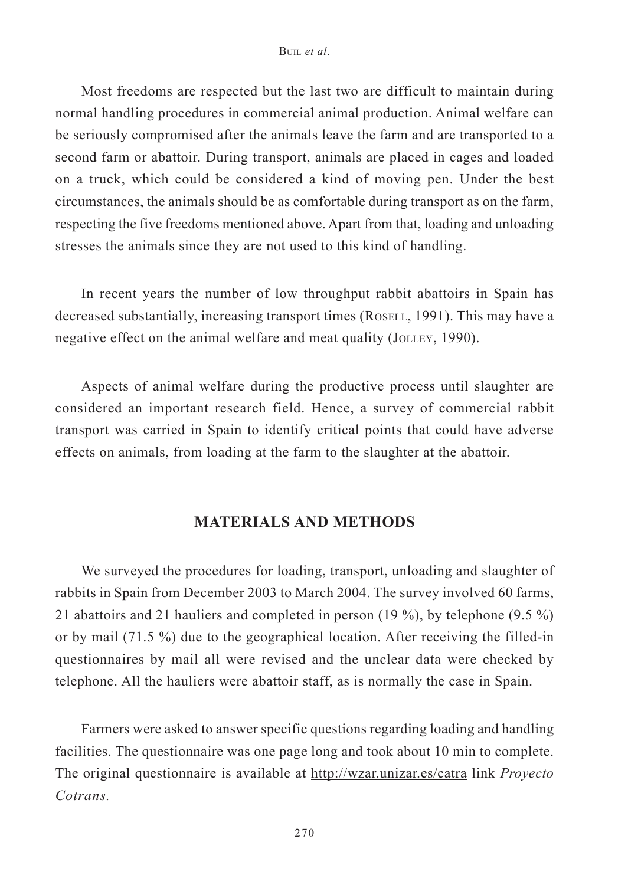Most freedoms are respected but the last two are difficult to maintain during normal handling procedures in commercial animal production. Animal welfare can be seriously compromised after the animals leave the farm and are transported to a second farm or abattoir. During transport, animals are placed in cages and loaded on a truck, which could be considered a kind of moving pen. Under the best circumstances, the animals should be as comfortable during transport as on the farm, respecting the five freedoms mentioned above. Apart from that, loading and unloading stresses the animals since they are not used to this kind of handling.

In recent years the number of low throughput rabbit abattoirs in Spain has decreased substantially, increasing transport times (ROSELL, 1991). This may have a negative effect on the animal welfare and meat quality (JOLLEY, 1990).

Aspects of animal welfare during the productive process until slaughter are considered an important research field. Hence, a survey of commercial rabbit transport was carried in Spain to identify critical points that could have adverse effects on animals, from loading at the farm to the slaughter at the abattoir.

## **MATERIALS AND METHODS**

We surveyed the procedures for loading, transport, unloading and slaughter of rabbits in Spain from December 2003 to March 2004. The survey involved 60 farms, 21 abattoirs and 21 hauliers and completed in person (19 %), by telephone (9.5 %) or by mail (71.5 %) due to the geographical location. After receiving the filled-in questionnaires by mail all were revised and the unclear data were checked by telephone. All the hauliers were abattoir staff, as is normally the case in Spain.

Farmers were asked to answer specific questions regarding loading and handling facilities. The questionnaire was one page long and took about 10 min to complete. The original questionnaire is available at http://wzar.unizar.es/catra link *Proyecto Cotrans.*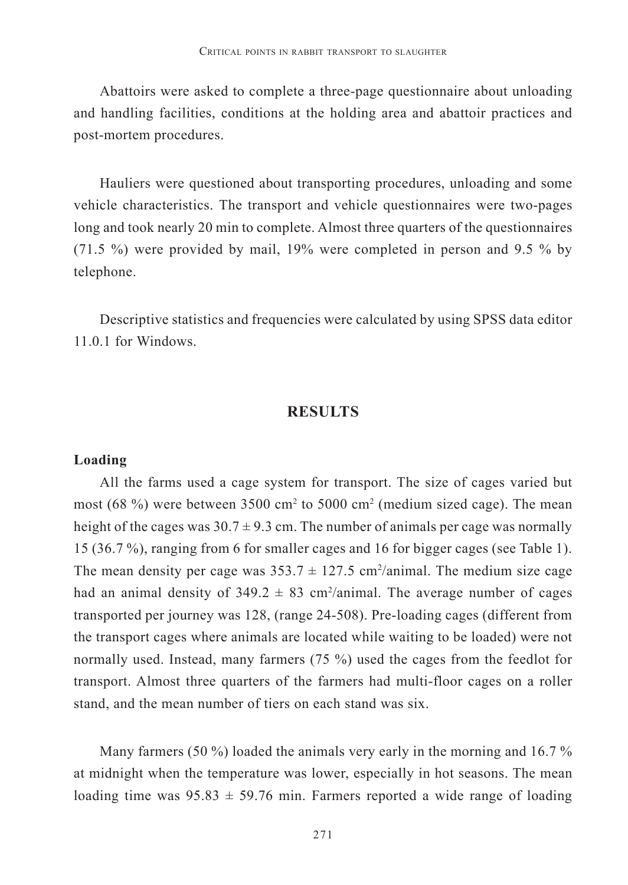Abattoirs were asked to complete a three-page questionnaire about unloading and handling facilities, conditions at the holding area and abattoir practices and post-mortem procedures.

Hauliers were questioned about transporting procedures, unloading and some vehicle characteristics. The transport and vehicle questionnaires were two-pages long and took nearly 20 min to complete. Almost three quarters of the questionnaires (71.5 %) were provided by mail, 19% were completed in person and 9.5 % by telephone.

Descriptive statistics and frequencies were calculated by using SPSS data editor 11.0.1 for Windows.

## **RESULTS**

#### **Loading**

All the farms used a cage system for transport. The size of cages varied but most (68 %) were between 3500 cm<sup>2</sup> to 5000 cm<sup>2</sup> (medium sized cage). The mean height of the cages was  $30.7 \pm 9.3$  cm. The number of animals per cage was normally 15 (36.7 %), ranging from 6 for smaller cages and 16 for bigger cages (see Table 1). The mean density per cage was  $353.7 \pm 127.5$  cm<sup>2</sup>/animal. The medium size cage had an animal density of  $349.2 \pm 83$  cm<sup>2</sup>/animal. The average number of cages transported per journey was 128, (range 24-508). Pre-loading cages (different from the transport cages where animals are located while waiting to be loaded) were not normally used. Instead, many farmers (75 %) used the cages from the feedlot for transport. Almost three quarters of the farmers had multi-floor cages on a roller stand, and the mean number of tiers on each stand was six.

Many farmers (50 %) loaded the animals very early in the morning and 16.7 % at midnight when the temperature was lower, especially in hot seasons. The mean loading time was  $95.83 \pm 59.76$  min. Farmers reported a wide range of loading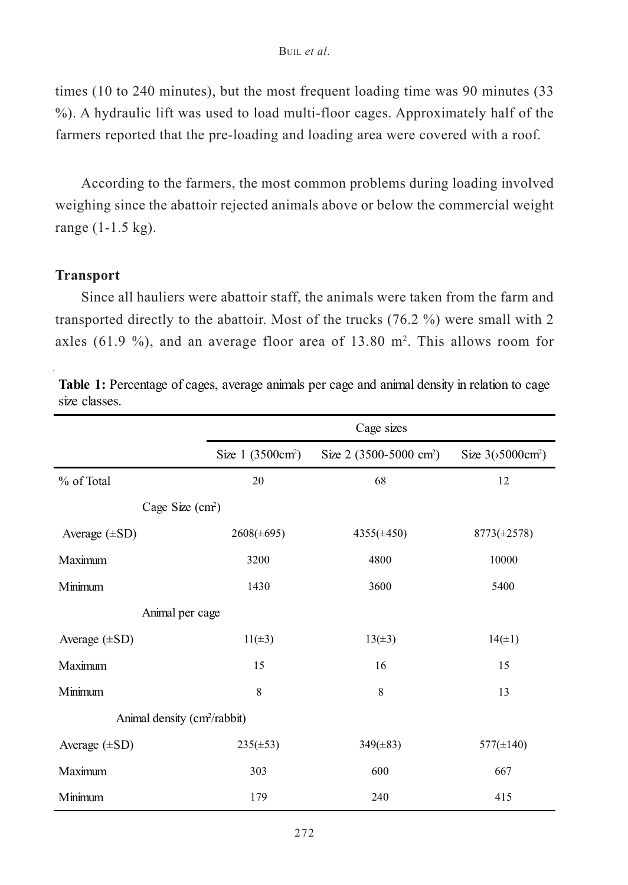times (10 to 240 minutes), but the most frequent loading time was 90 minutes (33 %). A hydraulic lift was used to load multi-floor cages. Approximately half of the farmers reported that the pre-loading and loading area were covered with a roof*.*

According to the farmers, the most common problems during loading involved weighing since the abattoir rejected animals above or below the commercial weight range (1-1.5 kg).

## **Transport**

Since all hauliers were abattoir staff, the animals were taken from the farm and transported directly to the abattoir. Most of the trucks (76.2 %) were small with 2 axles (61.9 %), and an average floor area of  $13.80$  m<sup>2</sup>. This allows room for

|                                          | Cage sizes                    |                                     |                            |  |
|------------------------------------------|-------------------------------|-------------------------------------|----------------------------|--|
|                                          | Size 1 (3500cm <sup>2</sup> ) | Size 2 (3500-5000 cm <sup>2</sup> ) | Size $3(5000 \text{cm}^2)$ |  |
| % of Total                               | 20                            | 68                                  | 12                         |  |
| Cage Size $(cm2)$                        |                               |                                     |                            |  |
| Average $(\pm SD)$                       | $2608(\pm 695)$               | $4355(\pm 450)$                     | $8773(\pm 2578)$           |  |
| Maximum                                  | 3200                          | 4800                                | 10000                      |  |
| Minimum                                  | 1430                          | 3600                                | 5400                       |  |
| Animal per cage                          |                               |                                     |                            |  |
| Average $(\pm SD)$                       | $11(\pm 3)$                   | $13(\pm 3)$                         | $14(\pm 1)$                |  |
| Maximum                                  | 15                            | 16                                  | 15                         |  |
| Minimum                                  | 8                             | 8                                   | 13                         |  |
| Animal density (cm <sup>2</sup> /rabbit) |                               |                                     |                            |  |
| Average $(\pm SD)$                       | $235(\pm 53)$                 | $349(\pm 83)$                       | $577(\pm 140)$             |  |
| Maximum                                  | 303                           | 600                                 | 667                        |  |
| Minimum                                  | 179                           | 240                                 | 415                        |  |

**Table 1:** Percentage of cages, average animals per cage and animal density in relation to cage size classes.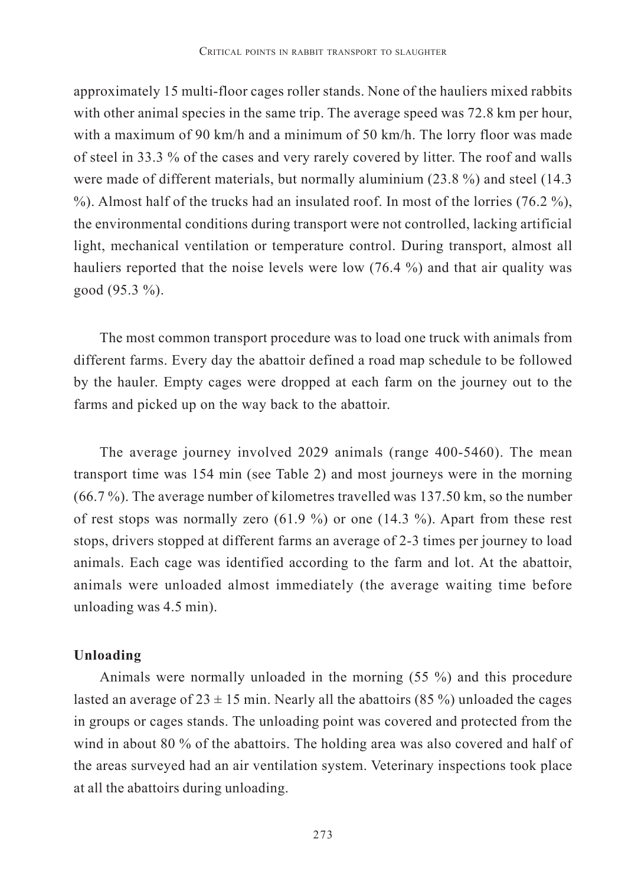approximately 15 multi-floor cages roller stands. None of the hauliers mixed rabbits with other animal species in the same trip. The average speed was 72.8 km per hour, with a maximum of 90 km/h and a minimum of 50 km/h. The lorry floor was made of steel in 33.3 % of the cases and very rarely covered by litter. The roof and walls were made of different materials, but normally aluminium (23.8 %) and steel (14.3  $\%$ ). Almost half of the trucks had an insulated roof. In most of the lorries (76.2  $\%$ ), the environmental conditions during transport were not controlled, lacking artificial light, mechanical ventilation or temperature control. During transport, almost all hauliers reported that the noise levels were low (76.4 %) and that air quality was good (95.3 %).

The most common transport procedure was to load one truck with animals from different farms. Every day the abattoir defined a road map schedule to be followed by the hauler. Empty cages were dropped at each farm on the journey out to the farms and picked up on the way back to the abattoir.

The average journey involved 2029 animals (range 400-5460). The mean transport time was 154 min (see Table 2) and most journeys were in the morning (66.7 %). The average number of kilometres travelled was 137.50 km, so the number of rest stops was normally zero  $(61.9\%)$  or one  $(14.3\%)$ . Apart from these rest stops, drivers stopped at different farms an average of 2-3 times per journey to load animals. Each cage was identified according to the farm and lot. At the abattoir, animals were unloaded almost immediately (the average waiting time before unloading was 4.5 min).

### **Unloading**

Animals were normally unloaded in the morning (55 %) and this procedure lasted an average of  $23 \pm 15$  min. Nearly all the abattoirs (85 %) unloaded the cages in groups or cages stands. The unloading point was covered and protected from the wind in about 80 % of the abattoirs. The holding area was also covered and half of the areas surveyed had an air ventilation system. Veterinary inspections took place at all the abattoirs during unloading.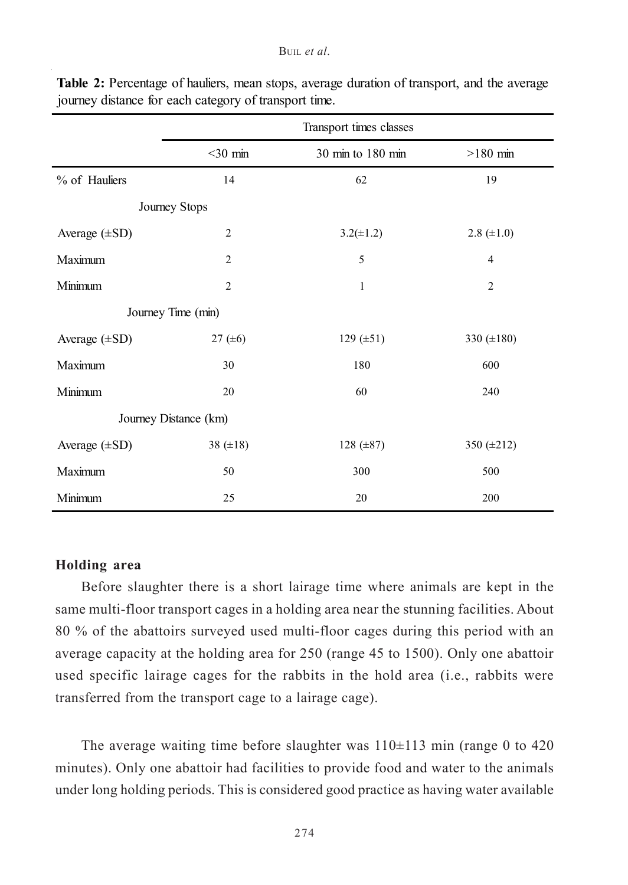|                       |                | Transport times classes |                 |  |
|-----------------------|----------------|-------------------------|-----------------|--|
|                       | $<$ 30 min     | 30 min to 180 min       | $>180$ min      |  |
| % of Hauliers         | 14             | 62                      | 19              |  |
| Journey Stops         |                |                         |                 |  |
| Average $(\pm SD)$    | $\overline{2}$ | $3.2(\pm 1.2)$          | $2.8 (\pm 1.0)$ |  |
| Maximum               | $\overline{2}$ | 5                       | $\overline{4}$  |  |
| Minimum               | $\overline{2}$ | 1                       | $\overline{2}$  |  |
| Journey Time (min)    |                |                         |                 |  |
| Average $(\pm SD)$    | 27 $(±6)$      | 129 ( $\pm 51$ )        | 330 $(\pm 180)$ |  |
| Maximum               | 30             | 180                     | 600             |  |
| Minimum               | 20             | 60                      | 240             |  |
| Journey Distance (km) |                |                         |                 |  |
| Average $(\pm SD)$    | 38 $(\pm 18)$  | $128 (\pm 87)$          | 350 (±212)      |  |
| Maximum               | 50             | 300                     | 500             |  |
| Minimum               | 25             | 20                      | 200             |  |

**Table 2:** Percentage of hauliers, mean stops, average duration of transport, and the average journey distance for each category of transport time.

## **Holding area**

Before slaughter there is a short lairage time where animals are kept in the same multi-floor transport cages in a holding area near the stunning facilities. About 80 % of the abattoirs surveyed used multi-floor cages during this period with an average capacity at the holding area for 250 (range 45 to 1500). Only one abattoir used specific lairage cages for the rabbits in the hold area (i.e., rabbits were transferred from the transport cage to a lairage cage).

The average waiting time before slaughter was  $110\pm113$  min (range 0 to 420) minutes). Only one abattoir had facilities to provide food and water to the animals under long holding periods. This is considered good practice as having water available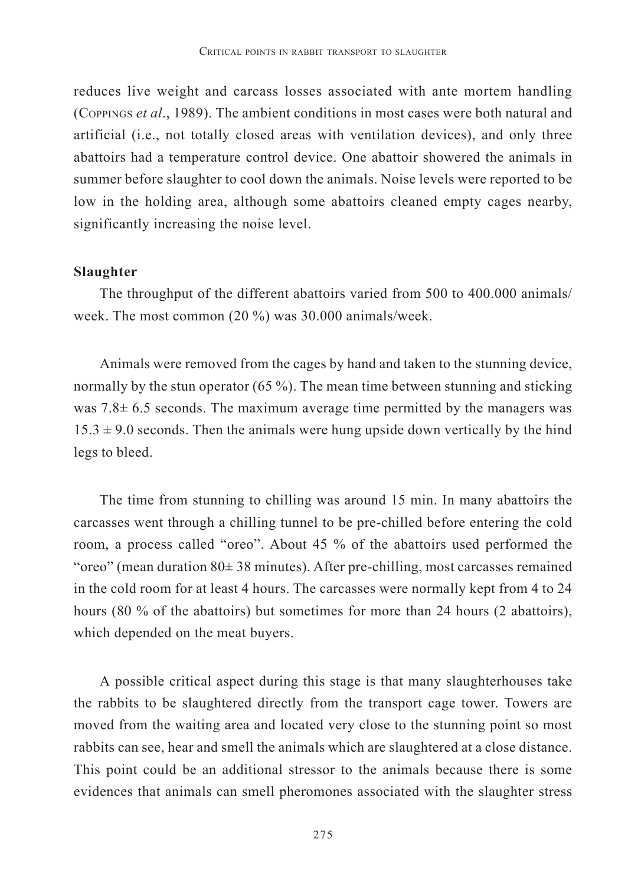reduces live weight and carcass losses associated with ante mortem handling (COPPINGS *et al*., 1989). The ambient conditions in most cases were both natural and artificial (i.e., not totally closed areas with ventilation devices), and only three abattoirs had a temperature control device. One abattoir showered the animals in summer before slaughter to cool down the animals. Noise levels were reported to be low in the holding area, although some abattoirs cleaned empty cages nearby, significantly increasing the noise level.

### **Slaughter**

The throughput of the different abattoirs varied from 500 to 400.000 animals/ week. The most common (20 %) was 30.000 animals/week.

Animals were removed from the cages by hand and taken to the stunning device, normally by the stun operator (65 %). The mean time between stunning and sticking was  $7.8 \pm 6.5$  seconds. The maximum average time permitted by the managers was  $15.3 \pm 9.0$  seconds. Then the animals were hung upside down vertically by the hind legs to bleed.

The time from stunning to chilling was around 15 min. In many abattoirs the carcasses went through a chilling tunnel to be pre-chilled before entering the cold room, a process called "oreo". About 45 % of the abattoirs used performed the "oreo" (mean duration  $80 \pm 38$  minutes). After pre-chilling, most carcasses remained in the cold room for at least 4 hours. The carcasses were normally kept from 4 to 24 hours (80 % of the abattoirs) but sometimes for more than 24 hours (2 abattoirs), which depended on the meat buyers.

A possible critical aspect during this stage is that many slaughterhouses take the rabbits to be slaughtered directly from the transport cage tower. Towers are moved from the waiting area and located very close to the stunning point so most rabbits can see, hear and smell the animals which are slaughtered at a close distance. This point could be an additional stressor to the animals because there is some evidences that animals can smell pheromones associated with the slaughter stress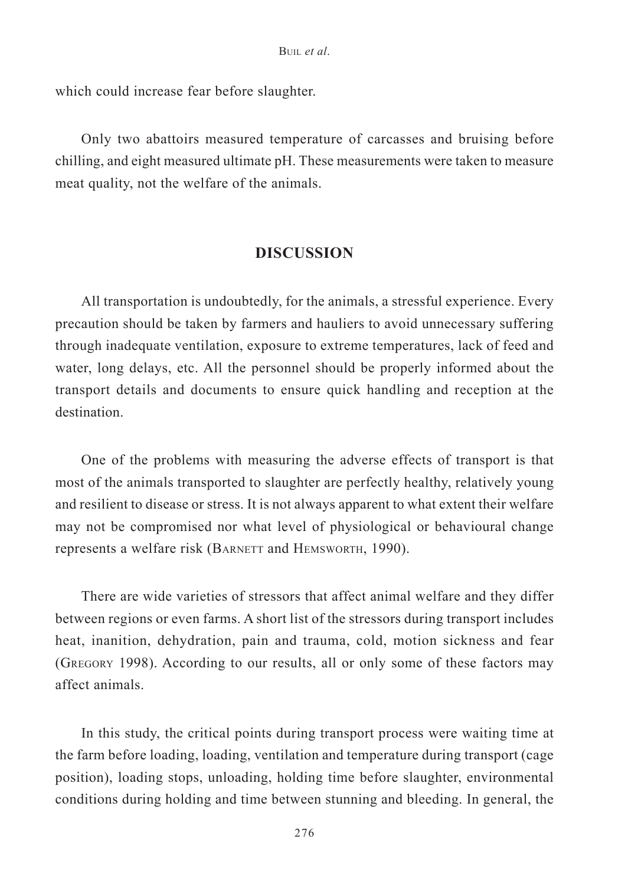which could increase fear before slaughter.

Only two abattoirs measured temperature of carcasses and bruising before chilling, and eight measured ultimate pH. These measurements were taken to measure meat quality, not the welfare of the animals.

## **DISCUSSION**

All transportation is undoubtedly, for the animals, a stressful experience. Every precaution should be taken by farmers and hauliers to avoid unnecessary suffering through inadequate ventilation, exposure to extreme temperatures, lack of feed and water, long delays, etc. All the personnel should be properly informed about the transport details and documents to ensure quick handling and reception at the destination.

One of the problems with measuring the adverse effects of transport is that most of the animals transported to slaughter are perfectly healthy, relatively young and resilient to disease or stress. It is not always apparent to what extent their welfare may not be compromised nor what level of physiological or behavioural change represents a welfare risk (BARNETT and HEMSWORTH, 1990).

There are wide varieties of stressors that affect animal welfare and they differ between regions or even farms. A short list of the stressors during transport includes heat, inanition, dehydration, pain and trauma, cold, motion sickness and fear (GREGORY 1998). According to our results, all or only some of these factors may affect animals.

In this study, the critical points during transport process were waiting time at the farm before loading, loading, ventilation and temperature during transport (cage position), loading stops, unloading, holding time before slaughter, environmental conditions during holding and time between stunning and bleeding. In general, the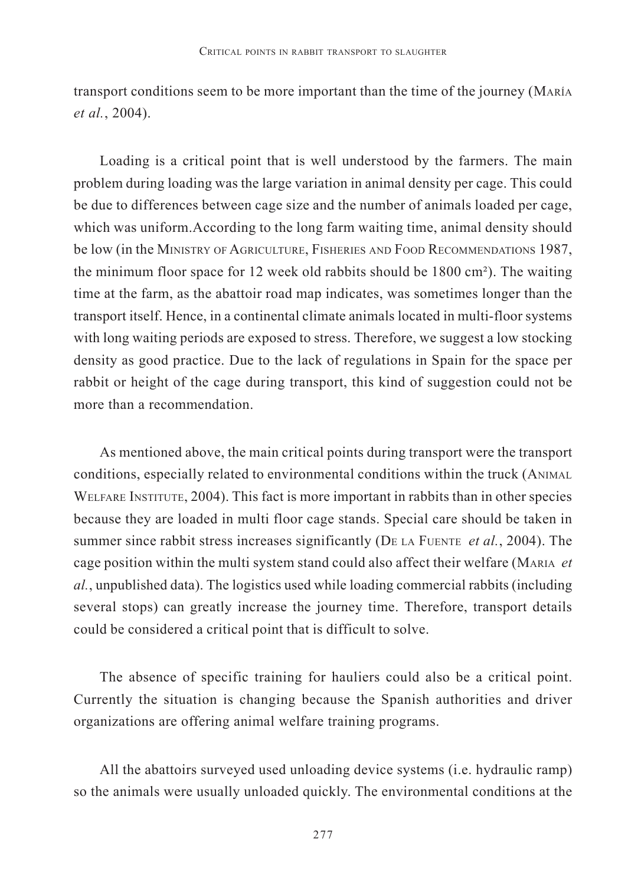transport conditions seem to be more important than the time of the journey (MARÍA *et al.*, 2004).

Loading is a critical point that is well understood by the farmers. The main problem during loading was the large variation in animal density per cage. This could be due to differences between cage size and the number of animals loaded per cage, which was uniform.According to the long farm waiting time, animal density should be low (in the MINISTRY OF AGRICULTURE, FISHERIES AND FOOD RECOMMENDATIONS 1987, the minimum floor space for 12 week old rabbits should be 1800 cm²). The waiting time at the farm, as the abattoir road map indicates, was sometimes longer than the transport itself. Hence, in a continental climate animals located in multi-floor systems with long waiting periods are exposed to stress. Therefore, we suggest a low stocking density as good practice. Due to the lack of regulations in Spain for the space per rabbit or height of the cage during transport, this kind of suggestion could not be more than a recommendation.

As mentioned above, the main critical points during transport were the transport conditions, especially related to environmental conditions within the truck (ANIMAL WELFARE INSTITUTE, 2004). This fact is more important in rabbits than in other species because they are loaded in multi floor cage stands. Special care should be taken in summer since rabbit stress increases significantly (DE LA FUENTE *et al.*, 2004). The cage position within the multi system stand could also affect their welfare (MARIA *et al.*, unpublished data). The logistics used while loading commercial rabbits (including several stops) can greatly increase the journey time. Therefore, transport details could be considered a critical point that is difficult to solve.

The absence of specific training for hauliers could also be a critical point. Currently the situation is changing because the Spanish authorities and driver organizations are offering animal welfare training programs.

All the abattoirs surveyed used unloading device systems (i.e. hydraulic ramp) so the animals were usually unloaded quickly. The environmental conditions at the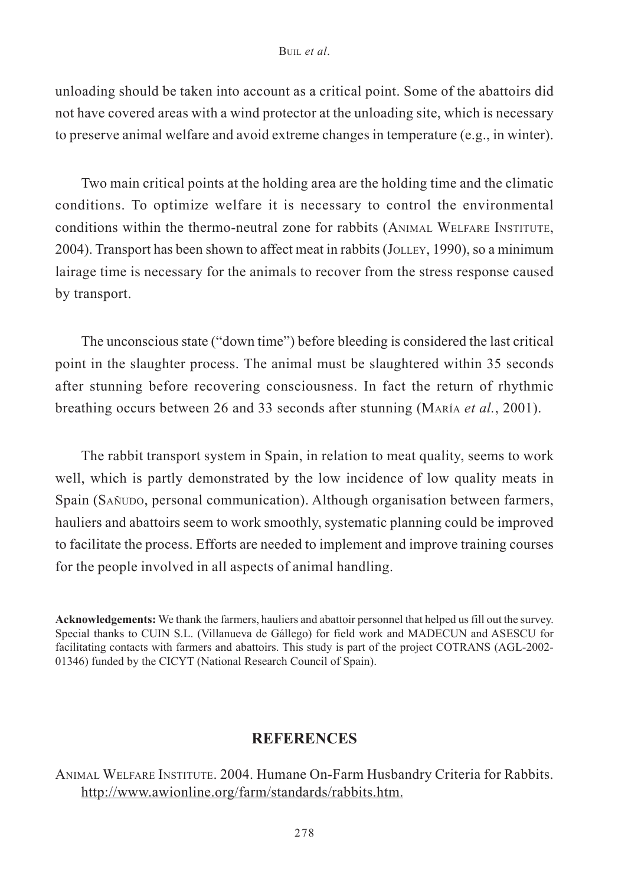#### BUIL *et al*.

unloading should be taken into account as a critical point. Some of the abattoirs did not have covered areas with a wind protector at the unloading site, which is necessary to preserve animal welfare and avoid extreme changes in temperature (e.g., in winter).

Two main critical points at the holding area are the holding time and the climatic conditions. To optimize welfare it is necessary to control the environmental conditions within the thermo-neutral zone for rabbits (ANIMAL WELFARE INSTITUTE, 2004). Transport has been shown to affect meat in rabbits (JOLLEY, 1990), so a minimum lairage time is necessary for the animals to recover from the stress response caused by transport.

The unconscious state ("down time") before bleeding is considered the last critical point in the slaughter process. The animal must be slaughtered within 35 seconds after stunning before recovering consciousness. In fact the return of rhythmic breathing occurs between 26 and 33 seconds after stunning (MARÍA *et al.*, 2001).

The rabbit transport system in Spain, in relation to meat quality, seems to work well, which is partly demonstrated by the low incidence of low quality meats in Spain (SAÑUDO, personal communication). Although organisation between farmers, hauliers and abattoirs seem to work smoothly, systematic planning could be improved to facilitate the process. Efforts are needed to implement and improve training courses for the people involved in all aspects of animal handling.

**Acknowledgements:** We thank the farmers, hauliers and abattoir personnel that helped us fill out the survey. Special thanks to CUIN S.L. (Villanueva de Gállego) for field work and MADECUN and ASESCU for facilitating contacts with farmers and abattoirs. This study is part of the project COTRANS (AGL-2002- 01346) funded by the CICYT (National Research Council of Spain).

## **REFERENCES**

ANIMAL WELFARE INSTITUTE. 2004. Humane On-Farm Husbandry Criteria for Rabbits. http://www.awionline.org/farm/standards/rabbits.htm.